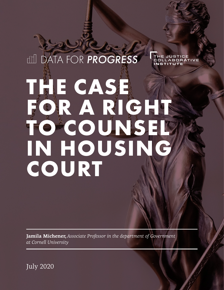# **ILL DATA FOR PROGRESS** THE JUSTICE COLLABORATIVE **NSTITUTE THE CASE FOR A RIGHT TO COUNSEL IN HOUSING COURT**

**Jamila Michener,** *Associate Professor in the department of Government at Cornell University*

July 2020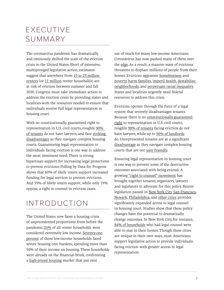# EXECUTIVE SUMMARY

The coronavirus pandemic has dramatically and ominously shifted the scale of the eviction crisis in the United States. Short of extensive, multipronged legislative action, estimates suggest that anywhere from [19 to 23 million](https://www.aspeninstitute.org/blog-posts/20-million-renters-are-at-risk-of-eviction/)  [renters](https://www.aspeninstitute.org/blog-posts/20-million-renters-are-at-risk-of-eviction/) (or [11 million](https://www.fastcompany.com/90532305/11-million-households-could-be-evicted-over-the-next-four-months) renter households) are at risk of eviction between summer and fall 2020. Congress must take immediate action to address the eviction crisis by providing states and localities with the resources needed to ensure that individuals receive full legal representation in housing court.

With no constitutionally guaranteed right to representation in U.S. civil courts, roughly [90%](https://www.irp.wisc.edu/publications/fastfocus/pdfs/FF22-2015.pdf)  [of tenants](https://www.irp.wisc.edu/publications/fastfocus/pdfs/FF22-2015.pdf) do not have lawyers, and face [striking](https://www.jstor.org/stable/3185408?casa_token=R-0c1388GAAAAAAA%3AIRcvnLvhJp3Xt2Q8XQFzZpU_Wt3ysVQ7Gm2NfBgmM9BLtBp46jcYcCa58QP0oYMWppxYT57InTPFyvJnTCZYIHhQ_ikkUFinmTlY8J8ZtE1SafwS1Q&seq=1#metadata_info_tab_contents)  [disadvantages](https://www.jstor.org/stable/3185408?casa_token=R-0c1388GAAAAAAA%3AIRcvnLvhJp3Xt2Q8XQFzZpU_Wt3ysVQ7Gm2NfBgmM9BLtBp46jcYcCa58QP0oYMWppxYT57InTPFyvJnTCZYIHhQ_ikkUFinmTlY8J8ZtE1SafwS1Q&seq=1#metadata_info_tab_contents) as they navigate complex housing courts. Guaranteeing legal representation to individuals facing eviction is one way to address the most imminent need. There is strong bipartisan support for increasing legal protections to prevent evictions: Polling by Data for Progress shows that 60% of likely voters support increased funding for legal services to prevent evictions. And 59% of likely voters support, while only 19% oppose, a right to counsel in eviction cases.

# INTRODUCTION

The United States now faces a housing crisis of unprecedented proportions. Even before the pandemic, [25% o](https://reports.nlihc.org/gap/about)f all renter households were considered extremely low income. [Seventy-one](https://reports.nlihc.org/gap/about)  [percent](https://reports.nlihc.org/gap/about) of those low-income households faced severe housing cost burdens, spending more than 50% of their income on housing. These households were already on the financial brink, confronting a [high-priced housing](https://reports.nlihc.org/sites/default/files/oor/OOR_BOOK_2020.pdf) market that put rent

out of reach for many low-income Americans. Coronavirus has now pushed many of them over the [edge](https://ny.curbed.com/2020/6/24/21301775/nyc-housing-court-reopens-evictions-tenants-landlords). As a result, a massive wave of evictions threatens to displace millions of people from their homes. Evictions aggravate [homelessness](https://www.tandfonline.com/doi/abs/10.1080/02673030050134592) and [poverty,](https://www.journals.uchicago.edu/doi/abs/10.1086/666082?casa_token=2Q_7tnXWl3kAAAAA:VqwTRrm3PYA9n4qFEl-Gy19XeWgruFcnEzIKLIiajsNcFpkMEEsqhEDlBFPFwjxdHBpaFdjYZw) [harm families](https://academic.oup.com/sf/article-abstract/92/1/303/2235762), [imperil health,](https://www.sciencedirect.com/science/article/pii/S0277953617300102?casa_token=zS6XZ1vw3H8AAAAA:kB6YbOGf1fK7frFNg8HSY0z_AbuuznWIq5bCyaifvYYur-i8-WHok7l7BGAqsS8IpFCtL4zp) [destabilize](https://poverty.umich.edu/files/2019/07/Akers-et-al-Eviction-Machine-Revised-June-18.pdf)  [neighborhoods](https://poverty.umich.edu/files/2019/07/Akers-et-al-Eviction-Machine-Revised-June-18.pdf), and [perpetuate racial inequality](https://www.macfound.org/media/files/HHM_Research_Brief_-_Poor_Black_Women_Are_Evicted_at_Alarming_Rates.pdf). States and localities urgently need federal resources to address this crisis.

Evictions operate through the force of a legal system that severely disadvantages tenants. Because there is no [constitutionally guaranteed](https://www.amacad.org/publication/right-civil-counsel)  [right](https://www.amacad.org/publication/right-civil-counsel) to representation in U.S. civil courts, roughly [90% of tenants](https://www.stout.com/en/insights/article/right-to-counsel-nationwide-movement-fight-eviction-crisis) facing eviction do not have lawyers, while up to [90% of landlords](https://www.irp.wisc.edu/publications/fastfocus/pdfs/FF22-2015.pdf) do. Unrepresented tenants are at a significan[t](https://www.jstor.org/stable/3185408?casa_token=R-0c1388GAAAAAAA%3AIRcvnLvhJp3Xt2Q8XQFzZpU_Wt3ysVQ7Gm2NfBgmM9BLtBp46jcYcCa58QP0oYMWppxYT57InTPFyvJnTCZYIHhQ_ikkUFinmTlY8J8ZtE1SafwS1Q&seq=1#metadata_info_tab_contents)  [disadvantage](https://www.jstor.org/stable/3185408?casa_token=R-0c1388GAAAAAAA%3AIRcvnLvhJp3Xt2Q8XQFzZpU_Wt3ysVQ7Gm2NfBgmM9BLtBp46jcYcCa58QP0oYMWppxYT57InTPFyvJnTCZYIHhQ_ikkUFinmTlY8J8ZtE1SafwS1Q&seq=1#metadata_info_tab_contents) as they navigate complex housing courts that are [not user friendly.](https://heinonline.org/HOL/LandingPage?handle=hein.journals/geojpovlp17&div=8&id=&page=)

Ensuring legal representation in housing court is one way to prevent some of the destructive outcomes associated with being evicted. A growing ["right to counsel" movement](https://www.stout.com/en/insights/article/right-to-counsel-nationwide-movement-fight-eviction-crisis) has brought together tenants, organizers, lawyers and legislators to advocate for this policy. Recent legislation passed in [New York City,](https://legistar.council.nyc.gov/LegislationDetail.aspx?ID=1687978&GUID=29A4594B-9E8A-4C5E-A797-96BDC4F64F80) [San Francisco](https://sfelections.sfgov.org/sites/default/files/Documents/candidates/Legal_Text_No_Eviction_Without_Representation.pdf), [Newark,](https://newark.legistar.com/LegislationDetail.aspx?ID=3600177&GUID=706512AB-9068-4508-8193-1F1C1293ABE5&Options=&Search=&FullText=1) [Philadelphia,](https://phila.legistar.com/LegislationDetail.aspx?ID=3943568&GUID=EC5846F5-CECE-414F-A9F4-CA2F49D698B1&Options=Advanced&Search=) and [other cities](http://civilrighttocounsel.org/map) provides significantly expanded access to legal counsel in housing court. Studies show that these policy changes have the potential to dramatically change outcomes. In New York City, for instance, [84% of households](https://www1.nyc.gov/assets/hra/downloads/pdf/services/civiljustice/OCJ_Annual_Report_2019.pdf) who had legal counsel were able to stay in their homes. Though these cities are unique in their own ways, most Americans support legislative action to provide individuals facing eviction with greater access to legal representation.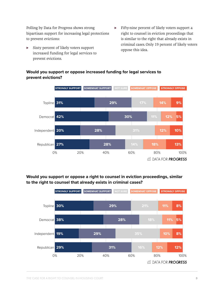Polling by Data for Progress shows strong bipartisan support for increasing legal protections to prevent evictions:

- Sixty percent of likely voters support increased funding for legal services to prevent evictions.
- ► Fifty-nine percent of likely voters support a right to counsel in eviction proceedings that is similar to the right that already exists in criminal cases. Only 19 percent of likely voters oppose this idea.



#### **Would you support or oppose increased funding for legal services to prevent evictions?**

### **Would you support or oppose a right to counsel in eviction proceedings, similar to the right to counsel that already exists in criminal cases?**

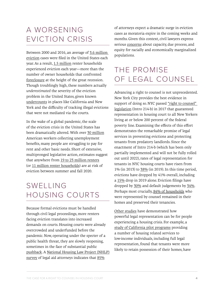### A WORSENING EVICTION CRISIS

Between 2000 and 2016, an average of [3.6 million](https://www.un.org/development/desa/dspd/wp-content/uploads/sites/22/2019/05/GROMIS_Ashley_Paper.pdf)  [eviction](https://www.un.org/development/desa/dspd/wp-content/uploads/sites/22/2019/05/GROMIS_Ashley_Paper.pdf) cases were filed in the United States each year. As a result, [1.5 million](https://www.un.org/development/desa/dspd/wp-content/uploads/sites/22/2019/05/GROMIS_Ashley_Paper.pdf) renter households experienced eviction each year—more than the number of owner households that confronted [foreclosure](https://www.corelogic.com/research/foreclosure-report/national-foreclosure-report-10-year.pdf) at the height of the great recession. Though troublingly high, these numbers actually *underestimated* the severity of the eviction problem in the United States, given known [undercounts](https://shelterforce.org/2018/08/22/eviction-lab-misses-the-mark/) in places like California and New York and the difficulty of tracking illegal evictions that were not mediated via the courts.

In the wake of a global pandemic, the scale of the eviction crisis in the United States has been dramatically altered. With over [30 million](https://oui.doleta.gov/press/2020/072320.pdf) American workers collecting unemployment benefits, many people are struggling to [pay for](https://www.census.gov/data-tools/demo/hhp/#/?measures=HIR)  [rent and other basic needs.](https://www.census.gov/data-tools/demo/hhp/#/?measures=HIR) Short of extensive, multipronged legislative action, estimates suggest that anywhere from [19 to 23 million renters](https://www.aspeninstitute.org/blog-posts/20-million-renters-are-at-risk-of-eviction/) (or [11 million renter households](https://www.marketwatch.com/story/america-is-facing-an-eviction-crisis-as-moratoriums-expire-this-is-a-potential-catastrophe-2020-07-23)) are at risk of eviction between summer and fall 2020.

# SWELLING HOUSING COURTS

Because formal evictions must be handled through civil legal proceedings, more renters facing eviction translates into increased demands on courts. Housing courts were already overcrowded and underfunded before the pandemic. Now, operating under the specter of a public health threat, they are slowly reopening, sometimes in the face of substantial public [pushback](https://ny.curbed.com/2020/6/24/21301775/nyc-housing-court-reopens-evictions-tenants-landlords). A [National Housing Law Project \(NHLP\)](https://www.nhlp.org/wp-content/uploads/Evictions-Survey-Results-2020.pdf) [survey](https://www.nhlp.org/wp-content/uploads/Evictions-Survey-Results-2020.pdf) of legal aid attorneys indicates that  $85\%$ 

of attorneys expect a dramatic surge in eviction cases as moratoria expire in the coming weeks and months. Given this context, civil lawyers express serious [concerns](https://www.nhlp.org/wp-content/uploads/Evictions-Survey-Results-2020.pdf) about capacity, due process, and equity for racially and economically marginalized populations.

# THE PROMISE OF LEGAL COUNSEL

Advancing a right to counsel is not unprecedented. New York City provides the best evidence in support of doing so. NYC passed ["right to counsel"](https://legistar.council.nyc.gov/LegislationDetail.aspx?ID=1687978&GUID=29A4594B-9E8A-4C5E-A797-96BDC4F64F80)  [legislation](https://legistar.council.nyc.gov/LegislationDetail.aspx?ID=1687978&GUID=29A4594B-9E8A-4C5E-A797-96BDC4F64F80) [\(Intro 214-b](https://legistar.council.nyc.gov/LegislationDetail.aspx?ID=1687978&GUID=29A4594B-9E8A-4C5E-A797-96BDC4F64F80)) in 2017 that guaranteed representation in housing court to all New Yorkers living at or below 200 percent of the federal poverty line. Examining the effects of this effort demonstrates the remarkable promise of legal services in preventing evictions and protecting tenants from predatory landlords. Since the enactment of Intro 214-b (which has been only partially implemented and will not be fully rolled out until 2022), rates of legal representation for tenants in NYC housing courts have risen from 1% (in 2013) to [38%](https://www1.nyc.gov/assets/hra/downloads/pdf/services/civiljustice/OCJ_Annual_Report_2019.pdf) (in 2019). In this time period, evictions have dropped by 41% overall, including a [15%](https://www1.nyc.gov/assets/hra/downloads/pdf/services/civiljustice/OCJ_Annual_Report_2019.pdf) drop in 2019 alone. Eviction filings have dropped by [30%](http://civilrighttocounsel.org/major_developments/894) and default judgements by [34%](http://civilrighttocounsel.org/major_developments/894). Perhaps most crucially, [84% of households](https://www1.nyc.gov/assets/hra/downloads/pdf/services/civiljustice/OCJ_Annual_Report_2019.pdf) who were represented by counsel remained in their homes and preserved their tenancies.

[Other studies](https://www.american.edu/spa/jpo/toolkit/upload/housing-7-30-19.pdf) have demonstrated how powerful legal representation can be for people experiencing a housing crisis. For example, a [study of California pilot programs](https://www.courts.ca.gov/documents/Shriver-Housing-2017.pdf) providing a number of housing related services to low-income individuals, including full legal representation, found that tenants were more likely to retain possession of their homes, have